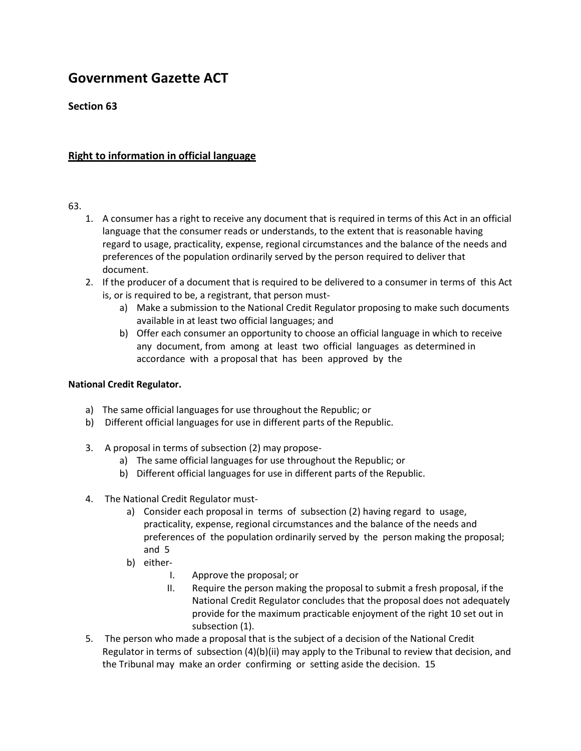# **Government Gazette ACT**

## **Section 63**

### **Right to information in official language**

#### 63.

- 1. A consumer has a right to receive any document that is required in terms of this Act in an official language that the consumer reads or understands, to the extent that is reasonable having regard to usage, practicality, expense, regional circumstances and the balance of the needs and preferences of the population ordinarily served by the person required to deliver that document.
- 2. If the producer of a document that is required to be delivered to a consumer in terms of this Act is, or is required to be, a registrant, that person must
	- a) Make a submission to the National Credit Regulator proposing to make such documents available in at least two official languages; and
	- b) Offer each consumer an opportunity to choose an official language in which to receive any document, from among at least two official languages as determined in accordance with a proposal that has been approved by the

#### **National Credit Regulator.**

- a) The same official languages for use throughout the Republic; or
- b) Different official languages for use in different parts of the Republic.
- 3. A proposal in terms of subsection (2) may propose
	- a) The same official languages for use throughout the Republic; or
	- b) Different official languages for use in different parts of the Republic.
- 4. The National Credit Regulator must
	- a) Consider each proposal in terms of subsection (2) having regard to usage, practicality, expense, regional circumstances and the balance of the needs and preferences of the population ordinarily served by the person making the proposal; and 5
	- b) either-
		- I. Approve the proposal; or
		- II. Require the person making the proposal to submit a fresh proposal, if the National Credit Regulator concludes that the proposal does not adequately provide for the maximum practicable enjoyment of the right 10 set out in subsection (1).
- 5. The person who made a proposal that is the subject of a decision of the National Credit Regulator in terms of subsection (4)(b)(ii) may apply to the Tribunal to review that decision, and the Tribunal may make an order confirming or setting aside the decision. 15